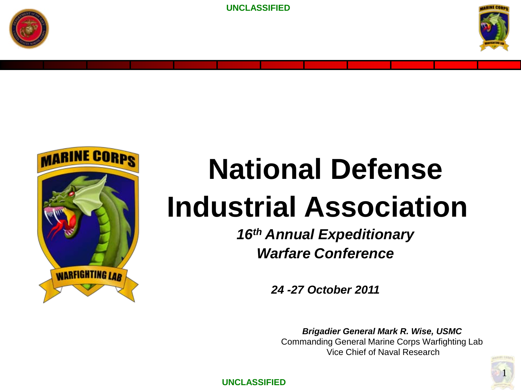



# **National Defense Industrial Association**

*16th Annual Expeditionary Warfare Conference*

*24 -27 October 2011*

*Brigadier General Mark R. Wise, USMC*

Commanding General Marine Corps Warfighting Lab Vice Chief of Naval Research

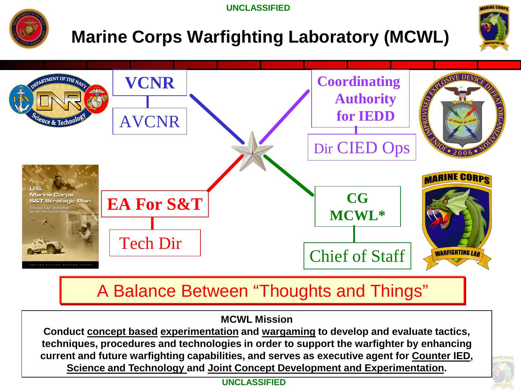

### **Marine Corps Warfighting Laboratory (MCWL)**





### A Balance Between "Thoughts and Things"

**MCWL Mission**

**Conduct concept based experimentation and wargaming to develop and evaluate tactics, techniques, procedures and technologies in order to support the warfighter by enhancing current and future warfighting capabilities, and serves as executive agent for Counter IED, Science and Technology and Joint Concept Development and Experimentation.**

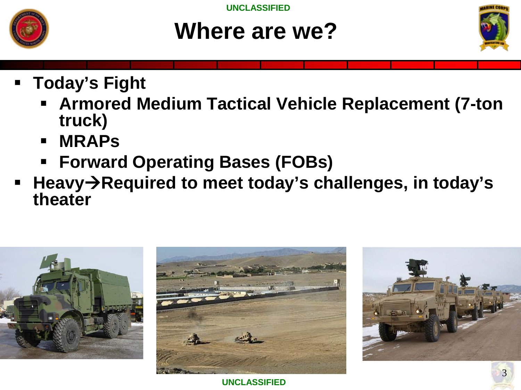

## **Where are we?**



- **Today's Fight**
	- **Armored Medium Tactical Vehicle Replacement (7-ton truck)**
	- **MRAPs**
	- **Forward Operating Bases (FOBs)**
- Heavy→Required to meet today's challenges, in today's **theater**





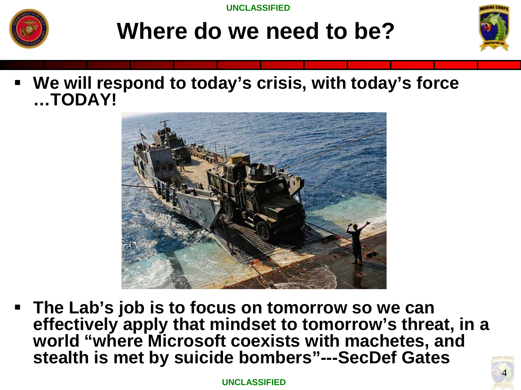

### **Where do we need to be?**



 **We will respond to today's crisis, with today's force …TODAY!**



 **The Lab's job is to focus on tomorrow so we can effectively apply that mindset to tomorrow's threat, in a world "where Microsoft coexists with machetes, and stealth is met by suicide bombers"---SecDef Gates**

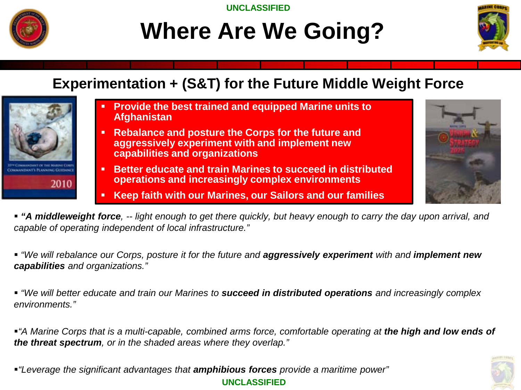![](_page_4_Picture_0.jpeg)

**SANT'S PLANNINGS CERR** 

2010

**UNCLASSIFIED**

# **Where Are We Going?**

![](_page_4_Picture_3.jpeg)

### **Experimentation + (S&T) for the Future Middle Weight Force**

- **Provide the best trained and equipped Marine units to Afghanistan**
- **Rebalance and posture the Corps for the future and aggressively experiment with and implement new capabilities and organizations**
- **Better educate and train Marines to succeed in distributed operations and increasingly complex environments**
- **Keep faith with our Marines, our Sailors and our families**

![](_page_4_Picture_9.jpeg)

 *"A middleweight force, -- light enough to get there quickly, but heavy enough to carry the day upon arrival, and capable of operating independent of local infrastructure."*

 *"We will rebalance our Corps, posture it for the future and aggressively experiment with and implement new capabilities and organizations."*

 *"We will better educate and train our Marines to succeed in distributed operations and increasingly complex environments."*

*"A Marine Corps that is a multi-capable, combined arms force, comfortable operating at the high and low ends of the threat spectrum, or in the shaded areas where they overlap."* 

**UNCLASSIFIED** *"Leverage the significant advantages that amphibious forces provide a maritime power"*

![](_page_4_Picture_15.jpeg)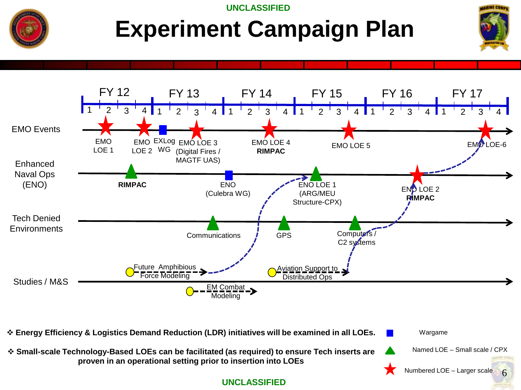![](_page_5_Picture_0.jpeg)

# **Experiment Campaign Plan**

![](_page_5_Picture_3.jpeg)

![](_page_5_Figure_4.jpeg)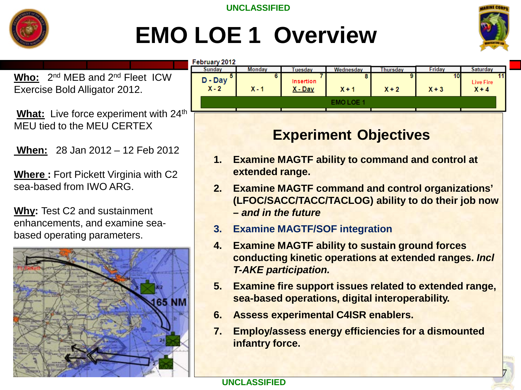![](_page_6_Picture_1.jpeg)

# **EMO LOE 1 Overview**

![](_page_6_Picture_3.jpeg)

7

**Who:** 2nd MEB and 2nd Fleet ICW Exercise Bold Alligator 2012.

**What:** Live force experiment with 24<sup>th</sup> MEU tied to the MEU CERTEX

**When:** 28 Jan 2012 – 12 Feb 2012

**Where :** Fort Pickett Virginia with C2 sea-based from IWO ARG.

**Why:** Test C2 and sustainment enhancements, and examine seabased operating parameters.

![](_page_6_Picture_9.jpeg)

| ebruary 2012         |               |                               |              |          |               |                                   |
|----------------------|---------------|-------------------------------|--------------|----------|---------------|-----------------------------------|
| Sunday               | <b>Monday</b> | Tuesday                       | Wednesday    | Thursday | Fridav        | <b>Saturday</b>                   |
| $D - Day$<br>$X - 2$ | X - 1         | <b>Insertion</b><br>$X - Day$ | 8<br>$X + 1$ | $X + 2$  | 10<br>$X + 3$ | 11<br><b>Live Fire</b><br>$X + 4$ |
|                      |               |                               | EMO LOE 1    |          |               |                                   |
|                      |               |                               |              |          |               |                                   |

### **Experiment Objectives**

- **1. Examine MAGTF ability to command and control at extended range.**
- **2. Examine MAGTF command and control organizations' (LFOC/SACC/TACC/TACLOG) ability to do their job now –** *and in the future*
- **3. Examine MAGTF/SOF integration**
- **4. Examine MAGTF ability to sustain ground forces conducting kinetic operations at extended ranges.** *Incl T-AKE participation.*
- **5. Examine fire support issues related to extended range, sea-based operations, digital interoperability.**
- **6. Assess experimental C4ISR enablers.**
- **7. Employ/assess energy efficiencies for a dismounted infantry force.**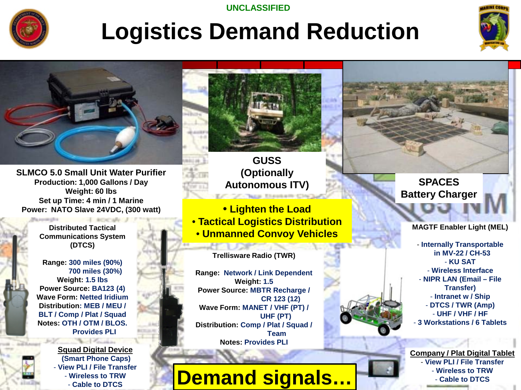![](_page_7_Picture_1.jpeg)

# **Logistics Demand Reduction**

![](_page_7_Picture_3.jpeg)

![](_page_7_Picture_4.jpeg)

**SLMCO 5.0 Small Unit Water Purifier Production: 1,000 Gallons / Day Weight: 60 lbs Set up Time: 4 min / 1 Marine Power: NATO Slave 24VDC, (300 watt)**

> **Distributed Tactical Communications System (DTCS)**

**Range: 300 miles (90%) 700 miles (30%) Weight: 1.5 lbs Power Source: BA123 (4) Wave Form: Netted Iridium Distribution: MEB / MEU / BLT / Comp / Plat / Squad Notes: OTH / OTM / BLOS. Provides PLI**

![](_page_7_Picture_8.jpeg)

**Squad Digital Device (Smart Phone Caps)**  - **View PLI / File Transfer** - **Wireless to TRW** - **Cable to DTCS**

**San Province** 

![](_page_7_Picture_10.jpeg)

**GUSS (Optionally Autonomous ITV)**

• **Lighten the Load**  • **Tactical Logistics Distribution Example 2 Distribution**<br>• **Unmanned Convoy Vehicles** 

#### **Trellisware Radio (TWR)**

*<u>ALL SERVICES</u>* 

**Range: Network / Link Dependent Weight: 1.5 Power Source: MBTR Recharge / CR 123 (12) Wave Form: MANET / VHF (PT) / UHF (PT) Distribution: Comp / Plat / Squad / Team Notes: Provides PLI**

**Demand signals...** 

**SPACES Battery Charger**

- **Internally Transportable in MV-22 / CH-53** - **KU SAT** - **Wireless Interface** - **NIPR LAN (Email – File Transfer)** - **Intranet w / Ship** - **DTCS / TWR (Amp)** - **UHF / VHF / HF** - **3 Workstations / 6 Tablets**

![](_page_7_Picture_19.jpeg)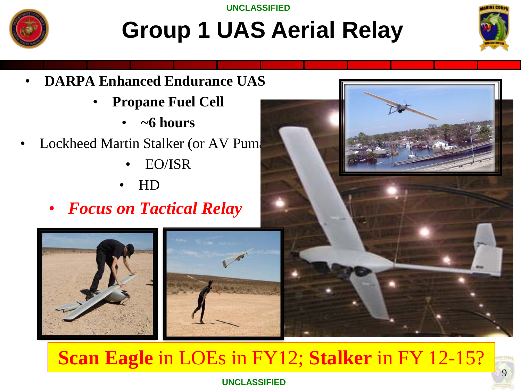![](_page_8_Picture_0.jpeg)

# **Group 1 UAS Aerial Relay**

![](_page_8_Picture_3.jpeg)

9

- **DARPA Enhanced Endurance UAS**
	- **Propane Fuel Cell**
		- **~6 hours**
- Lockheed Martin Stalker (or AV Pum
	- EO/ISR
	- HD
	- *Focus on Tactical Relay*

![](_page_8_Picture_11.jpeg)

![](_page_8_Picture_12.jpeg)

![](_page_8_Picture_13.jpeg)

### **Scan Eagle** in LOEs in FY12; **Stalker** in FY 12-15?

![](_page_8_Picture_15.jpeg)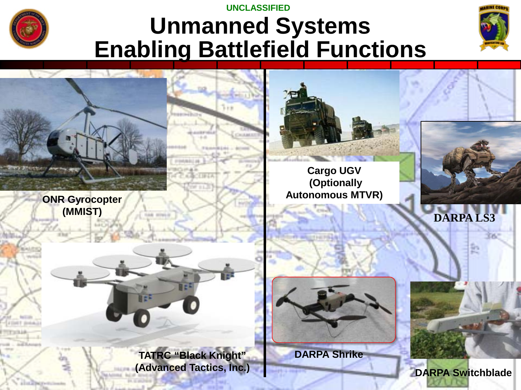![](_page_9_Picture_0.jpeg)

### **UNCLASSIFIED Unmanned Systems Enabling Battlefield Functions**

![](_page_9_Picture_2.jpeg)

![](_page_9_Picture_3.jpeg)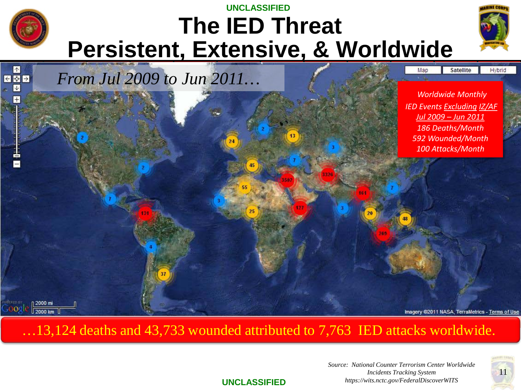### **UNCLASSIFIED The IED Threat Persistent, Extensive, & Worldwide**

![](_page_10_Picture_1.jpeg)

![](_page_10_Picture_2.jpeg)

. …13,124 deaths and 43,733 wounded attributed to 7,763 IED attacks worldwide.

![](_page_10_Picture_4.jpeg)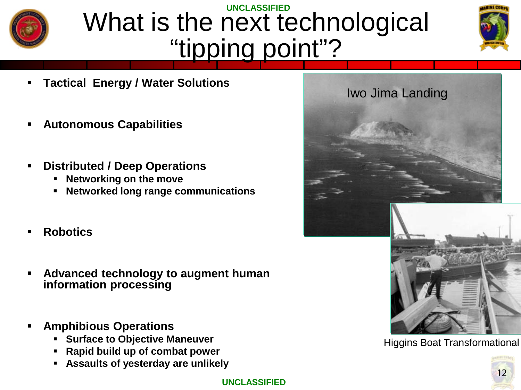![](_page_11_Picture_0.jpeg)

### **UNCLASSIFIED** What is the next technological "tipping point"?

![](_page_11_Picture_2.jpeg)

- **Tactical Energy / Water Solutions**
- **Autonomous Capabilities**
- **Distributed / Deep Operations**
	- **Networking on the move**
	- **Networked long range communications**
- **Robotics**
- **Advanced technology to augment human information processing**
- **Amphibious Operations**
	- **F** Surface to Objective Maneuver
	- **Rapid build up of combat power**
	- **Assaults of yesterday are unlikely**

![](_page_11_Picture_14.jpeg)

Higgins Boat Transformational

![](_page_11_Picture_16.jpeg)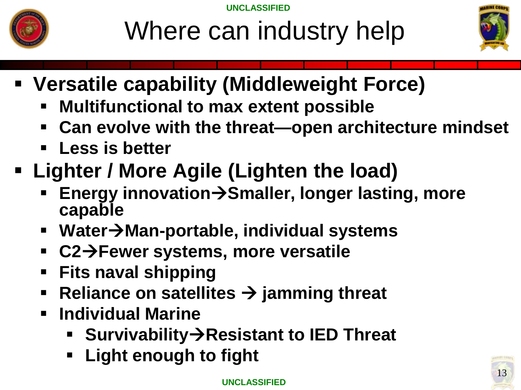![](_page_12_Figure_0.jpeg)

![](_page_12_Picture_3.jpeg)

- **Versatile capability (Middleweight Force)**
	- **Multifunctional to max extent possible**
	- **Can evolve with the threat—open architecture mindset**
	- **Less is better**
- **Lighter / More Agile (Lighten the load)**
	- **Energy innovationSmaller, longer lasting, more capable**
	- **WaterMan-portable, individual systems**
	- **C2Fewer systems, more versatile**
	- **Fits naval shipping**
	- Reliance on satellites → jamming threat
	- **Individual Marine**
		- **SurvivabilityResistant to IED Threat**
		- **Light enough to fight**

![](_page_12_Picture_18.jpeg)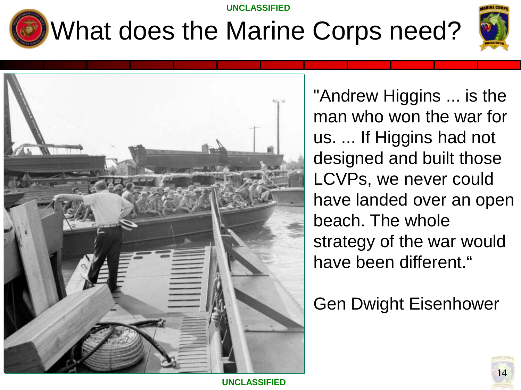![](_page_13_Picture_1.jpeg)

# What does the Marine Corps need?

![](_page_13_Picture_3.jpeg)

![](_page_13_Picture_4.jpeg)

"Andrew Higgins ... is the man who won the war for us. ... If Higgins had not designed and built those LCVPs, we never could have landed over an open beach. The whole strategy of the war would have been different."

### Gen Dwight Eisenhower

![](_page_13_Picture_7.jpeg)